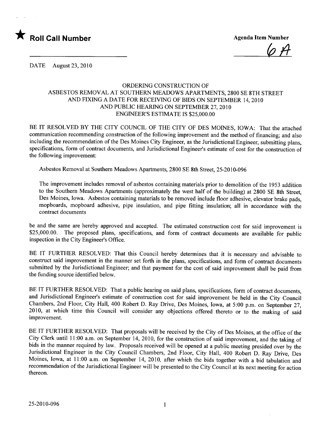

 $\varphi$  H

DATE August 23,2010

## ORDERING CONSTRUCTION OF ASBESTOS REMOVAL AT SOUTHERN MEADOWS APARTMENTS, 2800 SE 8TH STREET AND FIXING A DATE FOR RECEIVING OF BIDS ON SEPTEMBER 14,2010 AND PUBLIC HEARING ON SEPTEMBER 27, 2010 ENGINEER'S ESTIMATE IS \$25,000.00

BE IT RESOLVED BY THE CITY COUNCIL OF THE CITY OF DES MOINES, IOWA: That the attached communication recommending construction of the following improvement and the method of financing; and also including the recommendation of the Des Moines City Engineer, as the Jurisdictional Engineer, submitting plans, specifications, form of contract documents, and Jurisdictional Engineer's estimate of cost for the construction of the following improvement:

Asbestos Removal at Southern Meadows Apartments, 2800 SE 8th Street, 25-2010-096

The improvement includes removal of asbestos containing materials prior to demolition of the 1953 addition to the Southern Meadows Apartments (approximately the west half of the building) at 2800 SE 8th Street, Des Moines, Iowa. Asbestos containing materials to be removed include floor adhesive, elevator brake pads, mopboards, mopboard adhesive, pipe insulation, and pipe fitting insulation; all in accordance with the contract documents

be and the same are hereby approved and accepted. The estimated construction cost for said improvement is \$25,000.00. The proposed plans, specifications, and form of contract documents are available for public inspection in the City Engineer's Office.

BE IT FURTHER RESOLVED: That this Council hereby determines that it is necessary and advisable to construct said improvement in the manner set forth in the plans, specifications, and form of contract documents submitted by the Jurisdictional Engineer; and that payment for the cost of said improvement shall be paid from the funding source identified below.

BE IT FURTHER RESOLVED: That a public hearing on said plans, specifications, form of contract documents, and Jurisdictional Engineer's estimate of construction cost for said improvement be held in the City Council Chambers, 2nd Floor, City Hall, 400 Robert D. Ray Drive, Des Moines, Iowa, at 5:00 p.m. on September 27, 2010, at which time this Council will consider any objections offered thereto or to the making of said improvement.

BE IT FURTHER RESOLVED: That proposals will be received by the City of Des Moines, at the office of the City Clerk until 11 :00 a.m. on September 14, 2010, for the construction of said improvement, and the taking of bids in the manner required by law. Proposals received will be opened at a public meeting presided over by the Jurisdictional Engineer in the City Council Chambers, 2nd Floor, City Hall, 400 Robert D. Ray Drive, Des Moines, Iowa, at 11:00 a.m. on September 14, 2010, after which the bids together with a bid tabulation and recommendation of the Jurisdictional Engineer will be presented to the City Council at its next meeting for action thereon.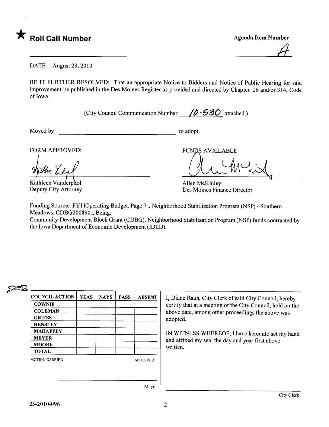

 $\mathcal A$ 

DATE August 23, 2010

BE IT FURTHER RESOLVED: That an appropriate Notice to Bidders and Notice of Public Hearing for said improvement be published in the Des Moines Register as provided and directed by Chapter 26 and/or 314, Code of Iowa.

(City Council Communication Number  $/2$  -530 attached.)

Moved by to adopt.

FORM APPROVED: FUNDS AVAILABLE

Kathleen Vanderpool Deputy City Attorney

Allen McKinley Des Moines Finance Director

Funding Source: FYI IOperating Budget, Page 71, Neighborhood Stabilzation Program (NSP) - Southern Meadows, CDBG2008901, Being:

Community Development Block Grant (CDBG), Neighborhood Stabilization Program (NSP) funds contracted by the Iowa Department of Economic Development (IDED)

## $\epsilon$

| <b>COUNCIL ACTION</b> | <b>YEAS</b> | <b>NAYS</b> | <b>PASS</b> | <b>ABSENT</b>   |
|-----------------------|-------------|-------------|-------------|-----------------|
| <b>COWNIE</b>         |             |             |             |                 |
| <b>COLEMAN</b>        |             |             |             |                 |
| <b>GRIESS</b>         |             |             |             |                 |
| <b>HENSLEY</b>        |             |             |             |                 |
| <b>MAHAFFEY</b>       |             |             |             |                 |
| <b>MEYER</b>          |             |             |             |                 |
| <b>MOORE</b>          |             |             |             |                 |
| <b>TOTAL</b>          |             |             |             |                 |
| <b>MOTION CARRIED</b> |             |             |             | <b>APPROVED</b> |
|                       |             |             |             |                 |
|                       |             |             |             | Mayor           |

I, Diane Rauh, City Clerk of said City Council, hereby certify that at a meeting of the City Council, held on the above date, among other proceedings the above was adopted.

IN WITNESS WHEREOF, I have hereunto set my hand and affixed my seal the day and year first above written.